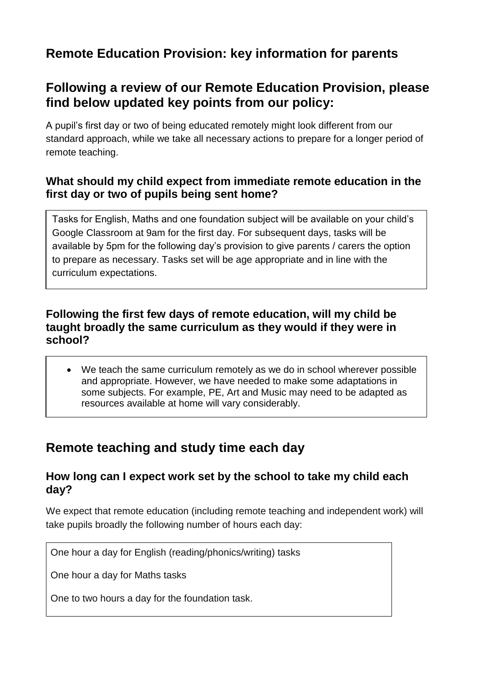# **Remote Education Provision: key information for parents**

## **Following a review of our Remote Education Provision, please find below updated key points from our policy:**

A pupil's first day or two of being educated remotely might look different from our standard approach, while we take all necessary actions to prepare for a longer period of remote teaching.

### **What should my child expect from immediate remote education in the first day or two of pupils being sent home?**

Tasks for English, Maths and one foundation subject will be available on your child's Google Classroom at 9am for the first day. For subsequent days, tasks will be available by 5pm for the following day's provision to give parents / carers the option to prepare as necessary. Tasks set will be age appropriate and in line with the curriculum expectations.

### **Following the first few days of remote education, will my child be taught broadly the same curriculum as they would if they were in school?**

 We teach the same curriculum remotely as we do in school wherever possible and appropriate. However, we have needed to make some adaptations in some subjects. For example, PE, Art and Music may need to be adapted as resources available at home will vary considerably.

## **Remote teaching and study time each day**

### **How long can I expect work set by the school to take my child each day?**

We expect that remote education (including remote teaching and independent work) will take pupils broadly the following number of hours each day:

One hour a day for English (reading/phonics/writing) tasks

One hour a day for Maths tasks

One to two hours a day for the foundation task.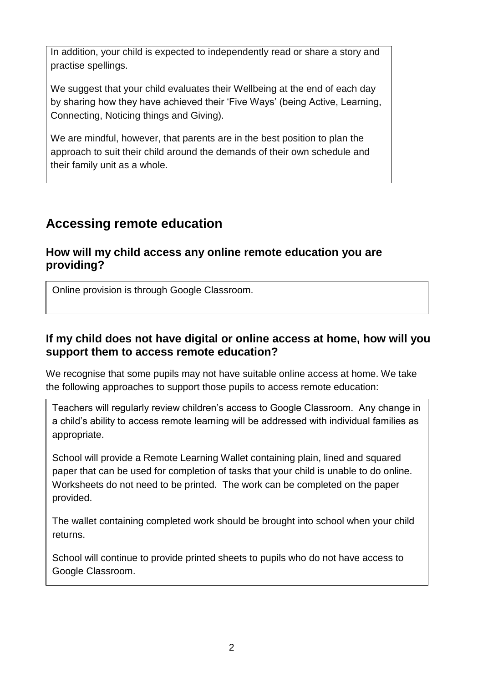In addition, your child is expected to independently read or share a story and practise spellings.

We suggest that your child evaluates their Wellbeing at the end of each day by sharing how they have achieved their 'Five Ways' (being Active, Learning, Connecting, Noticing things and Giving).

We are mindful, however, that parents are in the best position to plan the approach to suit their child around the demands of their own schedule and their family unit as a whole.

# **Accessing remote education**

### **How will my child access any online remote education you are providing?**

Online provision is through Google Classroom.

## **If my child does not have digital or online access at home, how will you support them to access remote education?**

We recognise that some pupils may not have suitable online access at home. We take the following approaches to support those pupils to access remote education:

Teachers will regularly review children's access to Google Classroom. Any change in a child's ability to access remote learning will be addressed with individual families as appropriate.

School will provide a Remote Learning Wallet containing plain, lined and squared paper that can be used for completion of tasks that your child is unable to do online. Worksheets do not need to be printed. The work can be completed on the paper provided.

The wallet containing completed work should be brought into school when your child returns.

School will continue to provide printed sheets to pupils who do not have access to Google Classroom.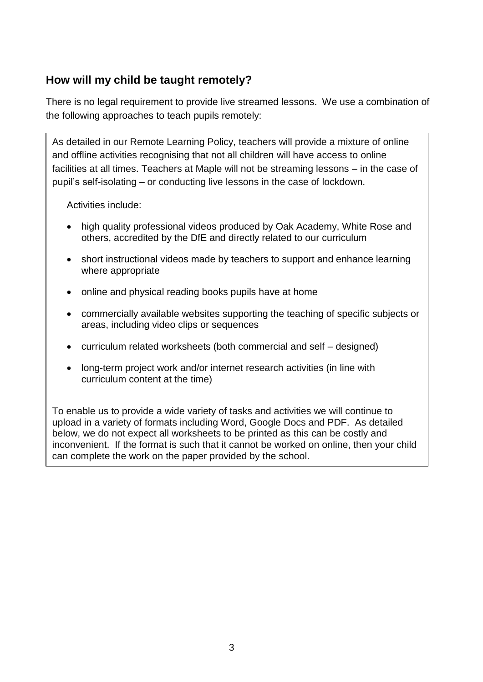## **How will my child be taught remotely?**

There is no legal requirement to provide live streamed lessons. We use a combination of the following approaches to teach pupils remotely:

As detailed in our Remote Learning Policy, teachers will provide a mixture of online and offline activities recognising that not all children will have access to online facilities at all times. Teachers at Maple will not be streaming lessons – in the case of pupil's self-isolating – or conducting live lessons in the case of lockdown.

Activities include:

- high quality professional videos produced by Oak Academy, White Rose and others, accredited by the DfE and directly related to our curriculum
- short instructional videos made by teachers to support and enhance learning where appropriate
- online and physical reading books pupils have at home
- commercially available websites supporting the teaching of specific subjects or areas, including video clips or sequences
- curriculum related worksheets (both commercial and self designed)
- long-term project work and/or internet research activities (in line with curriculum content at the time)

To enable us to provide a wide variety of tasks and activities we will continue to upload in a variety of formats including Word, Google Docs and PDF. As detailed below, we do not expect all worksheets to be printed as this can be costly and inconvenient. If the format is such that it cannot be worked on online, then your child can complete the work on the paper provided by the school.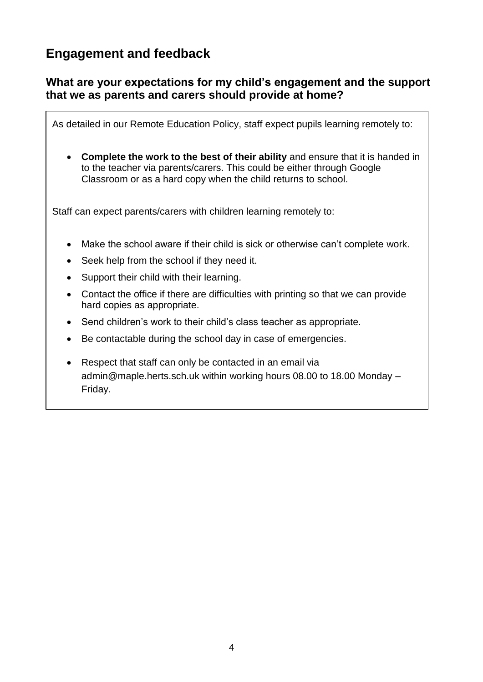# **Engagement and feedback**

### **What are your expectations for my child's engagement and the support that we as parents and carers should provide at home?**

As detailed in our Remote Education Policy, staff expect pupils learning remotely to:

 **Complete the work to the best of their ability** and ensure that it is handed in to the teacher via parents/carers. This could be either through Google Classroom or as a hard copy when the child returns to school.

Staff can expect parents/carers with children learning remotely to:

- Make the school aware if their child is sick or otherwise can't complete work.
- Seek help from the school if they need it.
- Support their child with their learning.
- Contact the office if there are difficulties with printing so that we can provide hard copies as appropriate.
- Send children's work to their child's class teacher as appropriate.
- Be contactable during the school day in case of emergencies.
- Respect that staff can only be contacted in an email via admin@maple.herts.sch.uk within working hours 08.00 to 18.00 Monday – Friday.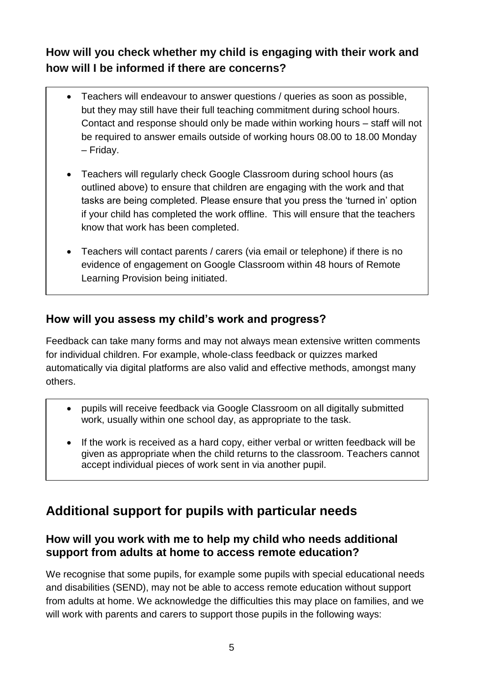**How will you check whether my child is engaging with their work and how will I be informed if there are concerns?**

- Teachers will endeavour to answer questions / queries as soon as possible, but they may still have their full teaching commitment during school hours. Contact and response should only be made within working hours – staff will not be required to answer emails outside of working hours 08.00 to 18.00 Monday – Friday.
- Teachers will regularly check Google Classroom during school hours (as outlined above) to ensure that children are engaging with the work and that tasks are being completed. Please ensure that you press the 'turned in' option if your child has completed the work offline. This will ensure that the teachers know that work has been completed.
- Teachers will contact parents / carers (via email or telephone) if there is no evidence of engagement on Google Classroom within 48 hours of Remote Learning Provision being initiated.

## **How will you assess my child's work and progress?**

Feedback can take many forms and may not always mean extensive written comments for individual children. For example, whole-class feedback or quizzes marked automatically via digital platforms are also valid and effective methods, amongst many others.

- pupils will receive feedback via Google Classroom on all digitally submitted work, usually within one school day, as appropriate to the task.
- If the work is received as a hard copy, either verbal or written feedback will be given as appropriate when the child returns to the classroom. Teachers cannot accept individual pieces of work sent in via another pupil.

# **Additional support for pupils with particular needs**

## **How will you work with me to help my child who needs additional support from adults at home to access remote education?**

We recognise that some pupils, for example some pupils with special educational needs and disabilities (SEND), may not be able to access remote education without support from adults at home. We acknowledge the difficulties this may place on families, and we will work with parents and carers to support those pupils in the following ways: